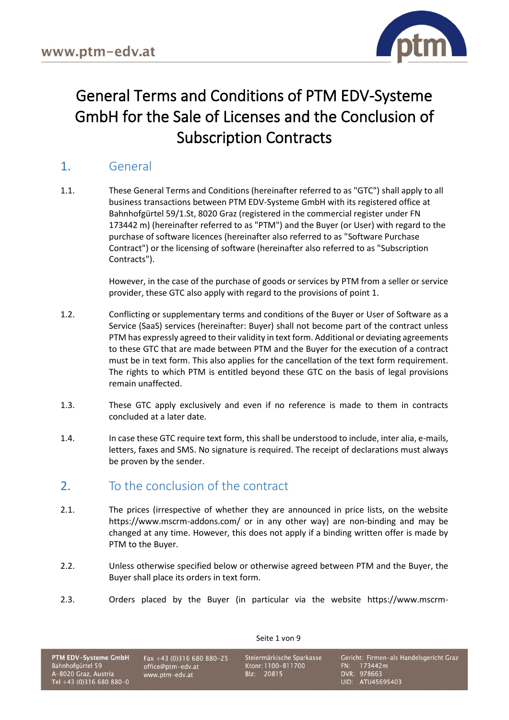

# General Terms and Conditions of PTM EDV-Systeme GmbH for the Sale of Licenses and the Conclusion of Subscription Contracts

# 1. General

1.1. These General Terms and Conditions (hereinafter referred to as "GTC") shall apply to all business transactions between PTM EDV-Systeme GmbH with its registered office at Bahnhofgürtel 59/1.St, 8020 Graz (registered in the commercial register under FN 173442 m) (hereinafter referred to as "PTM") and the Buyer (or User) with regard to the purchase of software licences (hereinafter also referred to as "Software Purchase Contract") or the licensing of software (hereinafter also referred to as "Subscription Contracts").

> However, in the case of the purchase of goods or services by PTM from a seller or service provider, these GTC also apply with regard to the provisions of point 1.

- 1.2. Conflicting or supplementary terms and conditions of the Buyer or User of Software as a Service (SaaS) services (hereinafter: Buyer) shall not become part of the contract unless PTM has expressly agreed to their validity in text form. Additional or deviating agreements to these GTC that are made between PTM and the Buyer for the execution of a contract must be in text form. This also applies for the cancellation of the text form requirement. The rights to which PTM is entitled beyond these GTC on the basis of legal provisions remain unaffected.
- 1.3. These GTC apply exclusively and even if no reference is made to them in contracts concluded at a later date.
- 1.4. In case these GTC require text form, this shall be understood to include, inter alia, e-mails, letters, faxes and SMS. No signature is required. The receipt of declarations must always be proven by the sender.

#### 2. To the conclusion of the contract

- 2.1. The prices (irrespective of whether they are announced in price lists, on the website https://www.mscrm-addons.com/ or in any other way) are non-binding and may be changed at any time. However, this does not apply if a binding written offer is made by PTM to the Buyer.
- 2.2. Unless otherwise specified below or otherwise agreed between PTM and the Buyer, the Buyer shall place its orders in text form.
- 2.3. Orders placed by the Buyer (in particular via the website https://www.mscrm-

Fax +43 (0)316 680 880-25 office@ptm-edv.at www.ptm-edv.at

Steiermärkische Sparkasse Ktonr: 1100-811700 Blz: 20815

Seite 1 von 9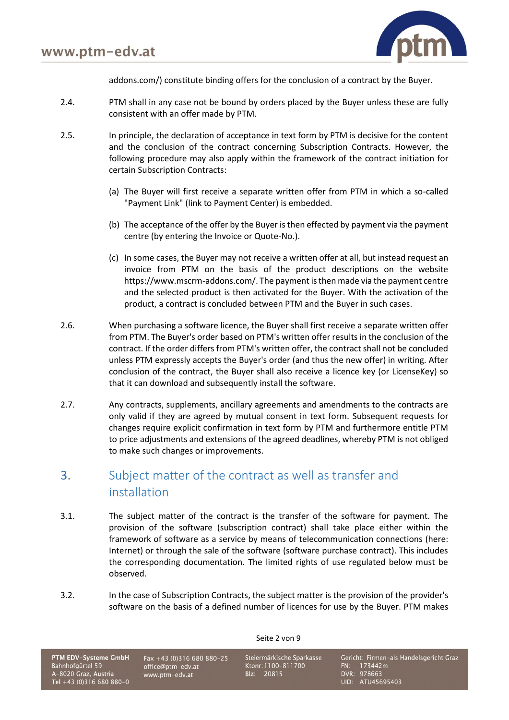

addons.com/) constitute binding offers for the conclusion of a contract by the Buyer.

- 2.4. PTM shall in any case not be bound by orders placed by the Buyer unless these are fully consistent with an offer made by PTM.
- 2.5. In principle, the declaration of acceptance in text form by PTM is decisive for the content and the conclusion of the contract concerning Subscription Contracts. However, the following procedure may also apply within the framework of the contract initiation for certain Subscription Contracts:
	- (a) The Buyer will first receive a separate written offer from PTM in which a so-called "Payment Link" (link to Payment Center) is embedded.
	- (b) The acceptance of the offer by the Buyer is then effected by payment via the payment centre (by entering the Invoice or Quote-No.).
	- (c) In some cases, the Buyer may not receive a written offer at all, but instead request an invoice from PTM on the basis of the product descriptions on the website [https://www.mscrm-addons.com/.](https://www.mscrm-addons.com/) The payment is then made via the payment centre and the selected product is then activated for the Buyer. With the activation of the product, a contract is concluded between PTM and the Buyer in such cases.
- 2.6. When purchasing a software licence, the Buyer shall first receive a separate written offer from PTM. The Buyer's order based on PTM's written offer results in the conclusion of the contract. If the order differs from PTM's written offer, the contract shall not be concluded unless PTM expressly accepts the Buyer's order (and thus the new offer) in writing. After conclusion of the contract, the Buyer shall also receive a licence key (or LicenseKey) so that it can download and subsequently install the software.
- 2.7. Any contracts, supplements, ancillary agreements and amendments to the contracts are only valid if they are agreed by mutual consent in text form. Subsequent requests for changes require explicit confirmation in text form by PTM and furthermore entitle PTM to price adjustments and extensions of the agreed deadlines, whereby PTM is not obliged to make such changes or improvements.

# 3. Subject matter of the contract as well as transfer and installation

- 3.1. The subject matter of the contract is the transfer of the software for payment. The provision of the software (subscription contract) shall take place either within the framework of software as a service by means of telecommunication connections (here: Internet) or through the sale of the software (software purchase contract). This includes the corresponding documentation. The limited rights of use regulated below must be observed.
- 3.2. In the case of Subscription Contracts, the subject matter is the provision of the provider's software on the basis of a defined number of licences for use by the Buyer. PTM makes

PTM EDV-Systeme GmbH Bahnhofgürtel 59 A-8020 Graz, Austria Tel +43 (0)316 680 880-0 Fax +43 (0)316 680 880-25 office@ptm-edv.at www.ptm-edv.at

Steiermärkische Sparkasse Ktonr: 1100-811700

Blz: 20815

Seite 2 von 9

Gericht: Firmen-als Handelsgericht Graz 173442m  $FN^{\perp}$ DVR: 978663 UID: ATU45695403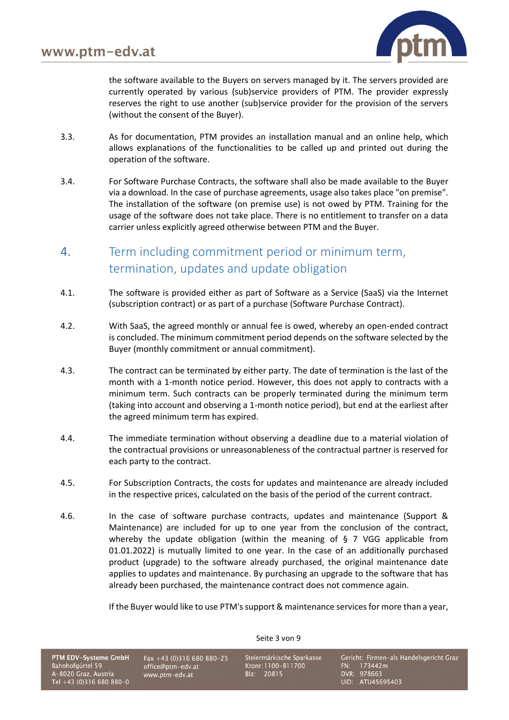

the software available to the Buyers on servers managed by it. The servers provided are currently operated by various (sub)service providers of PTM. The provider expressly reserves the right to use another (sub)service provider for the provision of the servers (without the consent of the Buyer).

- 3.3. As for documentation, PTM provides an installation manual and an online help, which allows explanations of the functionalities to be called up and printed out during the operation of the software.
- 3.4. For Software Purchase Contracts, the software shall also be made available to the Buyer via a download. In the case of purchase agreements, usage also takes place "on premise". The installation of the software (on premise use) is not owed by PTM. Training for the usage of the software does not take place. There is no entitlement to transfer on a data carrier unless explicitly agreed otherwise between PTM and the Buyer.

# 4. Term including commitment period or minimum term, termination, updates and update obligation

- 4.1. The software is provided either as part of Software as a Service (SaaS) via the Internet (subscription contract) or as part of a purchase (Software Purchase Contract).
- 4.2. With SaaS, the agreed monthly or annual fee is owed, whereby an open-ended contract is concluded. The minimum commitment period depends on the software selected by the Buyer (monthly commitment or annual commitment).
- 4.3. The contract can be terminated by either party. The date of termination is the last of the month with a 1-month notice period. However, this does not apply to contracts with a minimum term. Such contracts can be properly terminated during the minimum term (taking into account and observing a 1-month notice period), but end at the earliest after the agreed minimum term has expired.
- 4.4. The immediate termination without observing a deadline due to a material violation of the contractual provisions or unreasonableness of the contractual partner is reserved for each party to the contract.
- 4.5. For Subscription Contracts, the costs for updates and maintenance are already included in the respective prices, calculated on the basis of the period of the current contract.
- 4.6. In the case of software purchase contracts, updates and maintenance (Support & Maintenance) are included for up to one year from the conclusion of the contract, whereby the update obligation (within the meaning of  $\S$  7 VGG applicable from 01.01.2022) is mutually limited to one year. In the case of an additionally purchased product (upgrade) to the software already purchased, the original maintenance date applies to updates and maintenance. By purchasing an upgrade to the software that has already been purchased, the maintenance contract does not commence again.

If the Buyer would like to use PTM's support & maintenance services for more than a year,

PTM EDV-Systeme GmbH Bahnhofgürtel 59 A-8020 Graz, Austria Tel +43 (0)316 680 880-0 Fax +43 (0)316 680 880-25 office@ptm-edv.at www.ptm-edv.at

Steiermärkische Sparkasse Ktonr: 1100-811700

Blz: 20815

Seite 3 von 9

Gericht: Firmen-als Handelsgericht Graz 173442m  $FN -$ DVR: 978663 UID: ATU45695403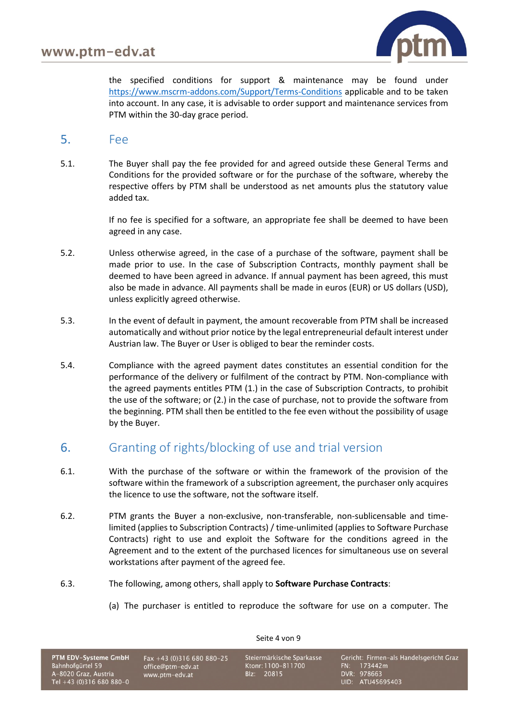

the specified conditions for support & maintenance may be found under <https://www.mscrm-addons.com/Support/Terms-Conditions> applicable and to be taken into account. In any case, it is advisable to order support and maintenance services from PTM within the 30-day grace period.

#### 5. Fee

5.1. The Buyer shall pay the fee provided for and agreed outside these General Terms and Conditions for the provided software or for the purchase of the software, whereby the respective offers by PTM shall be understood as net amounts plus the statutory value added tax.

> If no fee is specified for a software, an appropriate fee shall be deemed to have been agreed in any case.

- 5.2. Unless otherwise agreed, in the case of a purchase of the software, payment shall be made prior to use. In the case of Subscription Contracts, monthly payment shall be deemed to have been agreed in advance. If annual payment has been agreed, this must also be made in advance. All payments shall be made in euros (EUR) or US dollars (USD), unless explicitly agreed otherwise.
- 5.3. In the event of default in payment, the amount recoverable from PTM shall be increased automatically and without prior notice by the legal entrepreneurial default interest under Austrian law. The Buyer or User is obliged to bear the reminder costs.
- 5.4. Compliance with the agreed payment dates constitutes an essential condition for the performance of the delivery or fulfilment of the contract by PTM. Non-compliance with the agreed payments entitles PTM (1.) in the case of Subscription Contracts, to prohibit the use of the software; or (2.) in the case of purchase, not to provide the software from the beginning. PTM shall then be entitled to the fee even without the possibility of usage by the Buyer.

#### 6. Granting of rights/blocking of use and trial version

- 6.1. With the purchase of the software or within the framework of the provision of the software within the framework of a subscription agreement, the purchaser only acquires the licence to use the software, not the software itself.
- 6.2. PTM grants the Buyer a non-exclusive, non-transferable, non-sublicensable and timelimited (applies to Subscription Contracts) / time-unlimited (applies to Software Purchase Contracts) right to use and exploit the Software for the conditions agreed in the Agreement and to the extent of the purchased licences for simultaneous use on several workstations after payment of the agreed fee.
- 6.3. The following, among others, shall apply to **Software Purchase Contracts**:
	- (a) The purchaser is entitled to reproduce the software for use on a computer. The

PTM EDV-Systeme GmbH Bahnhofgürtel 59 A-8020 Graz, Austria Tel +43 (0)316 680 880-0 Fax +43 (0)316 680 880-25 office@ptm-edv.at www.ptm-edv.at

Seite 4 von 9 Steiermärkische Sparkasse

Ktonr: 1100-811700 Blz: 20815

Gericht: Firmen-als Handelsgericht Graz 173442m  $FN^{\perp}$ DVR: 978663 UID: ATU45695403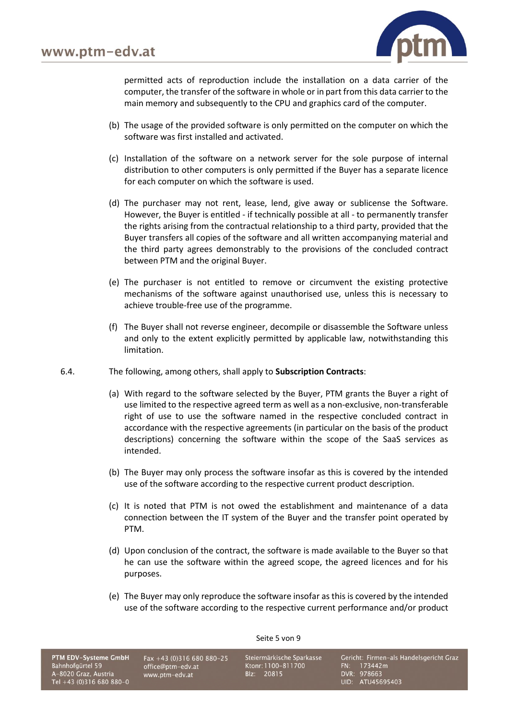

permitted acts of reproduction include the installation on a data carrier of the computer, the transfer of the software in whole or in part from this data carrier to the main memory and subsequently to the CPU and graphics card of the computer.

- (b) The usage of the provided software is only permitted on the computer on which the software was first installed and activated.
- (c) Installation of the software on a network server for the sole purpose of internal distribution to other computers is only permitted if the Buyer has a separate licence for each computer on which the software is used.
- (d) The purchaser may not rent, lease, lend, give away or sublicense the Software. However, the Buyer is entitled - if technically possible at all - to permanently transfer the rights arising from the contractual relationship to a third party, provided that the Buyer transfers all copies of the software and all written accompanying material and the third party agrees demonstrably to the provisions of the concluded contract between PTM and the original Buyer.
- (e) The purchaser is not entitled to remove or circumvent the existing protective mechanisms of the software against unauthorised use, unless this is necessary to achieve trouble-free use of the programme.
- (f) The Buyer shall not reverse engineer, decompile or disassemble the Software unless and only to the extent explicitly permitted by applicable law, notwithstanding this limitation.
- 6.4. The following, among others, shall apply to **Subscription Contracts**:
	- (a) With regard to the software selected by the Buyer, PTM grants the Buyer a right of use limited to the respective agreed term as well as a non-exclusive, non-transferable right of use to use the software named in the respective concluded contract in accordance with the respective agreements (in particular on the basis of the product descriptions) concerning the software within the scope of the SaaS services as intended.
	- (b) The Buyer may only process the software insofar as this is covered by the intended use of the software according to the respective current product description.
	- (c) It is noted that PTM is not owed the establishment and maintenance of a data connection between the IT system of the Buyer and the transfer point operated by PTM.
	- (d) Upon conclusion of the contract, the software is made available to the Buyer so that he can use the software within the agreed scope, the agreed licences and for his purposes.
	- (e) The Buyer may only reproduce the software insofar as this is covered by the intended use of the software according to the respective current performance and/or product

PTM EDV-Systeme GmbH Bahnhofgürtel 59 A-8020 Graz, Austria Tel +43 (0)316 680 880-0 Fax +43 (0)316 680 880-25 office@ptm-edv.at www.ptm-edv.at

Seite 5 von 9

Steiermärkische Sparkasse Ktonr: 1100-811700 Blz: 20815

Gericht: Firmen-als Handelsgericht Graz 173442m DVR: 978663 UID: ATU45695403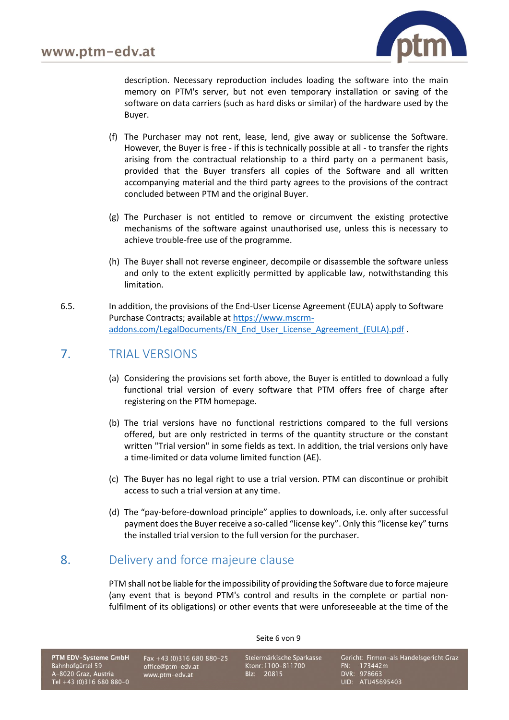

description. Necessary reproduction includes loading the software into the main memory on PTM's server, but not even temporary installation or saving of the software on data carriers (such as hard disks or similar) of the hardware used by the Buyer.

- (f) The Purchaser may not rent, lease, lend, give away or sublicense the Software. However, the Buyer is free - if this is technically possible at all - to transfer the rights arising from the contractual relationship to a third party on a permanent basis, provided that the Buyer transfers all copies of the Software and all written accompanying material and the third party agrees to the provisions of the contract concluded between PTM and the original Buyer.
- (g) The Purchaser is not entitled to remove or circumvent the existing protective mechanisms of the software against unauthorised use, unless this is necessary to achieve trouble-free use of the programme.
- (h) The Buyer shall not reverse engineer, decompile or disassemble the software unless and only to the extent explicitly permitted by applicable law, notwithstanding this limitation.
- 6.5. In addition, the provisions of the End-User License Agreement (EULA) apply to Software Purchase Contracts; available a[t https://www.mscrm](https://www.mscrm-addons.com/LegalDocuments/EN_End_User_License_Agreement_(EULA).pdf)[addons.com/LegalDocuments/EN\\_End\\_User\\_License\\_Agreement\\_\(EULA\).pdf](https://www.mscrm-addons.com/LegalDocuments/EN_End_User_License_Agreement_(EULA).pdf) .

#### 7. TRIAL VERSIONS

- (a) Considering the provisions set forth above, the Buyer is entitled to download a fully functional trial version of every software that PTM offers free of charge after registering on the PTM homepage.
- (b) The trial versions have no functional restrictions compared to the full versions offered, but are only restricted in terms of the quantity structure or the constant written "Trial version" in some fields as text. In addition, the trial versions only have a time-limited or data volume limited function (AE).
- (c) The Buyer has no legal right to use a trial version. PTM can discontinue or prohibit access to such a trial version at any time.
- (d) The "pay-before-download principle" applies to downloads, i.e. only after successful payment does the Buyer receive a so-called "license key". Only this "license key" turns the installed trial version to the full version for the purchaser.

# 8. Delivery and force majeure clause

PTM shall not be liable for the impossibility of providing the Software due to force majeure (any event that is beyond PTM's control and results in the complete or partial nonfulfilment of its obligations) or other events that were unforeseeable at the time of the

Seite 6 von 9

PTM EDV-Systeme GmbH Bahnhofgürtel 59 A-8020 Graz, Austria Tel +43 (0)316 680 880-0 Fax +43 (0)316 680 880-25 office@ptm-edv.at www.ptm-edv.at

Steiermärkische Sparkasse Ktonr: 1100-811700 Blz: 20815

Gericht: Firmen-als Handelsgericht Graz 173442m DVR: 978663 UID: ATU45695403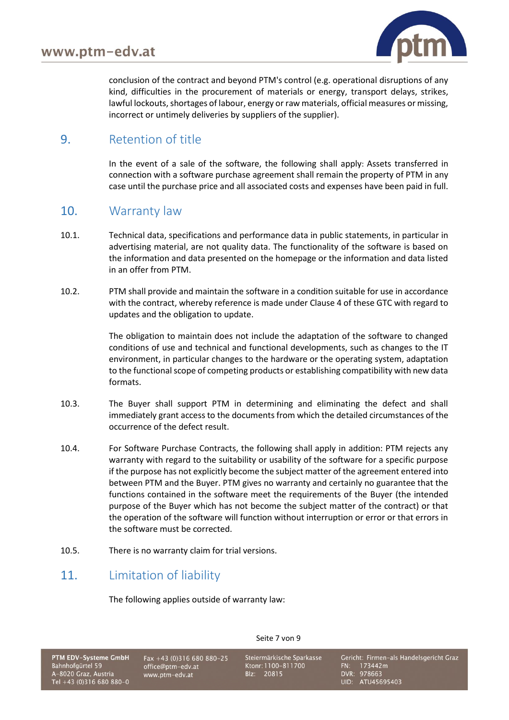

conclusion of the contract and beyond PTM's control (e.g. operational disruptions of any kind, difficulties in the procurement of materials or energy, transport delays, strikes, lawful lockouts, shortages of labour, energy or raw materials, official measures or missing, incorrect or untimely deliveries by suppliers of the supplier).

### 9. Retention of title

In the event of a sale of the software, the following shall apply: Assets transferred in connection with a software purchase agreement shall remain the property of PTM in any case until the purchase price and all associated costs and expenses have been paid in full.

#### 10. Warranty law

- 10.1. Technical data, specifications and performance data in public statements, in particular in advertising material, are not quality data. The functionality of the software is based on the information and data presented on the homepage or the information and data listed in an offer from PTM.
- 10.2. PTM shall provide and maintain the software in a condition suitable for use in accordance with the contract, whereby reference is made under Clause 4 of these GTC with regard to updates and the obligation to update.

The obligation to maintain does not include the adaptation of the software to changed conditions of use and technical and functional developments, such as changes to the IT environment, in particular changes to the hardware or the operating system, adaptation to the functional scope of competing products or establishing compatibility with new data formats.

- 10.3. The Buyer shall support PTM in determining and eliminating the defect and shall immediately grant access to the documents from which the detailed circumstances of the occurrence of the defect result.
- 10.4. For Software Purchase Contracts, the following shall apply in addition: PTM rejects any warranty with regard to the suitability or usability of the software for a specific purpose if the purpose has not explicitly become the subject matter of the agreement entered into between PTM and the Buyer. PTM gives no warranty and certainly no guarantee that the functions contained in the software meet the requirements of the Buyer (the intended purpose of the Buyer which has not become the subject matter of the contract) or that the operation of the software will function without interruption or error or that errors in the software must be corrected.
- 10.5. There is no warranty claim for trial versions.

# 11. Limitation of liability

The following applies outside of warranty law:

PTM EDV-Systeme GmbH Bahnhofgürtel 59 A-8020 Graz, Austria Tel +43 (0)316 680 880-0 Fax +43 (0)316 680 880-25 office@ptm-edv.at www.ptm-edv.at

Steiermärkische Sparkasse Ktonr: 1100-811700 Blz: 20815

Gericht: Firmen-als Handelsgericht Graz 173442m  $FN^{\perp}$ DVR: 978663 UID: ATU45695403

Seite 7 von 9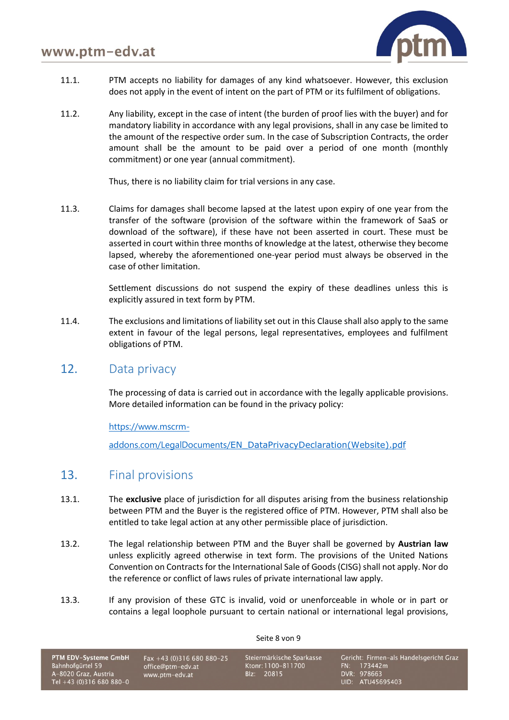

- 11.1. PTM accepts no liability for damages of any kind whatsoever. However, this exclusion does not apply in the event of intent on the part of PTM or its fulfilment of obligations.
- 11.2. Any liability, except in the case of intent (the burden of proof lies with the buyer) and for mandatory liability in accordance with any legal provisions, shall in any case be limited to the amount of the respective order sum. In the case of Subscription Contracts, the order amount shall be the amount to be paid over a period of one month (monthly commitment) or one year (annual commitment).

Thus, there is no liability claim for trial versions in any case.

11.3. Claims for damages shall become lapsed at the latest upon expiry of one year from the transfer of the software (provision of the software within the framework of SaaS or download of the software), if these have not been asserted in court. These must be asserted in court within three months of knowledge at the latest, otherwise they become lapsed, whereby the aforementioned one-year period must always be observed in the case of other limitation.

> Settlement discussions do not suspend the expiry of these deadlines unless this is explicitly assured in text form by PTM.

11.4. The exclusions and limitations of liability set out in this Clause shall also apply to the same extent in favour of the legal persons, legal representatives, employees and fulfilment obligations of PTM.

#### 12. Data privacy

The processing of data is carried out in accordance with the legally applicable provisions. More detailed information can be found in the privacy policy:

[https://www.mscrm-](https://www.mscrm-addons.com/LegalDocuments/EN_DataPrivacyDeclaration(Website).pdf)

[addons.com/LegalDocuments/](https://www.mscrm-addons.com/LegalDocuments/EN_DataPrivacyDeclaration(Website).pdf)[EN\\_DataPrivacyDeclaration\(Website\).pdf](https://www.mscrm-addons.com/LegalDocuments/EN_DataPrivacyDeclaration(Website).pdf)

#### 13. Final provisions

- 13.1. The **exclusive** place of jurisdiction for all disputes arising from the business relationship between PTM and the Buyer is the registered office of PTM. However, PTM shall also be entitled to take legal action at any other permissible place of jurisdiction.
- 13.2. The legal relationship between PTM and the Buyer shall be governed by **Austrian law** unless explicitly agreed otherwise in text form. The provisions of the United Nations Convention on Contracts for the International Sale of Goods (CISG) shall not apply. Nor do the reference or conflict of laws rules of private international law apply.
- 13.3. If any provision of these GTC is invalid, void or unenforceable in whole or in part or contains a legal loophole pursuant to certain national or international legal provisions,

Seite 8 von 9

Fax +43 (0)316 680 880-25 office@ptm-edv.at www.ptm-edv.at

Steiermärkische Sparkasse Ktonr: 1100-811700 Blz: 20815

Gericht: Firmen-als Handelsgericht Graz 173442m  $FN^{\perp}$ DVR: 978663 UID: ATU45695403